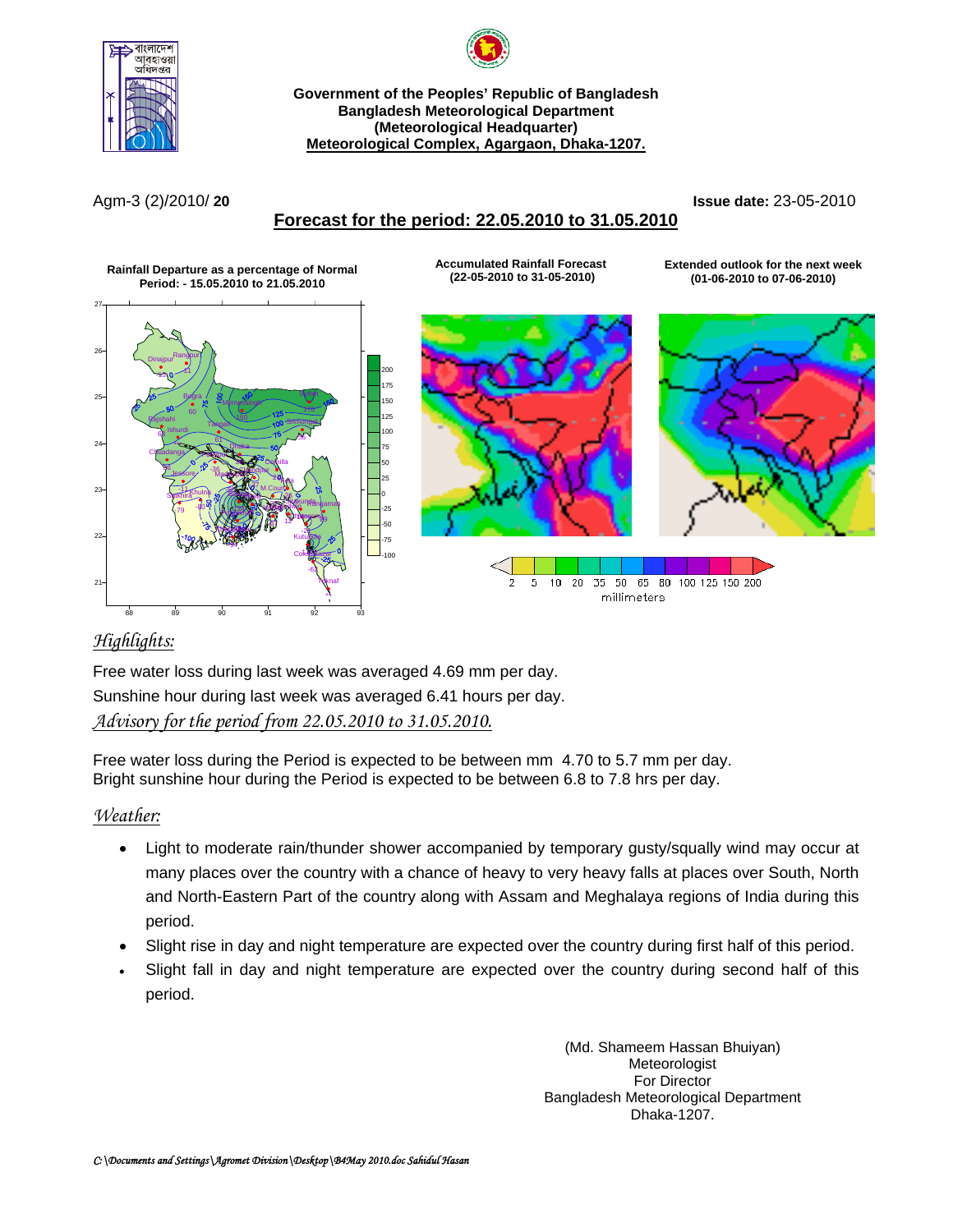

**Government of the Peoples' Republic of Bangladesh Bangladesh Meteorological Department (Meteorological Headquarter) Meteorological Complex, Agargaon, Dhaka-1207.**

### **Forecast for the period: 22.05.2010 to 31.05.2010**

Agm-3 (2)/2010/ **20 Issue date:** 23-05-2010



### *Highlights:*

Free water loss during last week was averaged 4.69 mm per day. Sunshine hour during last week was averaged 6.41 hours per day.

### *Advisory for the period from 22.05.2010 to 31.05.2010.*

Free water loss during the Period is expected to be between mm 4.70 to 5.7 mm per day. Bright sunshine hour during the Period is expected to be between 6.8 to 7.8 hrs per day.

### *Weather:*

- Light to moderate rain/thunder shower accompanied by temporary gusty/squally wind may occur at many places over the country with a chance of heavy to very heavy falls at places over South, North and North-Eastern Part of the country along with Assam and Meghalaya regions of India during this period.
- Slight rise in day and night temperature are expected over the country during first half of this period.
- Slight fall in day and night temperature are expected over the country during second half of this period.

(Md. Shameem Hassan Bhuiyan) Meteorologist For Director Bangladesh Meteorological Department Dhaka-1207.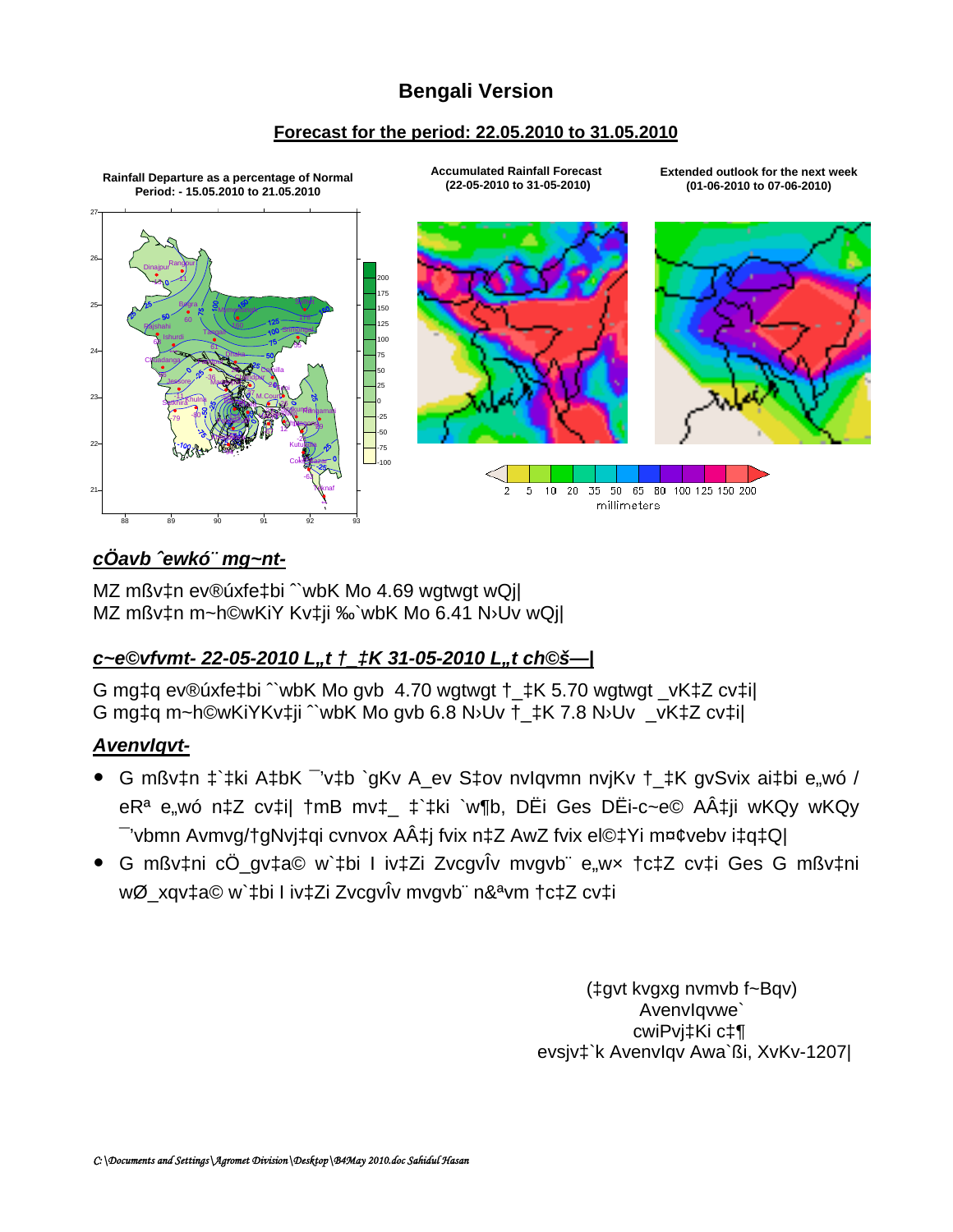# **Bengali Version**

### Forecast for the period: 22.05.2010 to 31.05.2010



# cÖavb 'ewkó' mg~nt-

MZ mßv‡n ev®úxfe‡bi "wbK Mo 4.69 wgtwgt wQil MZ mßv‡n m~h©wKiY Kv‡ji ‰`wbK Mo 6.41 N>Uv wQj|

# c~e©vfvmt-22-05-2010 L,,t +\_tK 31-05-2010 L,,t ch©š--

G mg‡q ev®úxfe‡bi "wbK Mo gvb 4.70 wgtwgt + ‡K 5.70 wgtwgt \_vK‡Z cv‡il G mgtg m~h©wKiYKvtiji "wbK Mo gvb 6.8 N>Uv + tK 7.8 N>Uv vKtZ cvtil

# **Avenvlgvt-**

- G mßv‡n ‡`‡ki A‡bK v‡b `qKv A ev S‡ov nvlqvmn nvjKv † ‡K qvSvix ai‡bi e,wó / eR<sup>a</sup> e,wó n‡Z cv‡il †mB mv‡\_ ‡`‡ki `w¶b, DËi Ges DËi-c~e© A‡ji wKQy wKQy - 'vbmn Avmvg/†gNvj‡qi cvnvox A‡j fvix n‡Z AwZ fvix el©‡Yi m¤¢vebv i‡q‡Q|
- · G mßv‡ni cÖ\_gv‡a© w`‡bi I iv‡Zi ZvcgvÎv mvgvb" e"wx †c‡Z cv‡i Ges G mßv‡ni wØ xqvta© w`tbi l ivtZi ZvcqvÎv mvqvb" n&<sup>a</sup>vm tctZ cvti

(‡qvt kvgxg nymvb f~Bqv) Avenvlgvwe' cwiPvi‡Ki c‡¶ evsjv‡`k Avenvlqv Awa`ßi, XvKv-1207|